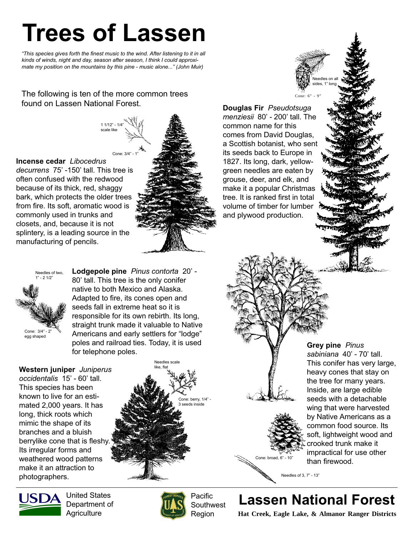## Trees of Lassen

"This species gives forth the finest music to the wind. After listening to it in all kinds of winds, night and day, season after season, I think I could approximate my position on the mountains by this pine - music alone..." (John Muir)

The following is ten of the more common trees found on Lassen National Forest.

> 1 1/12" - 1/4" scale like

Incense cedar Libocedrus decurrens 75' -150' tall. This tree is often confused with the redwood because of its thick, red, shaggy bark, which protects the older trees from fire. Its soft, aromatic wood is commonly used in trunks and closets, and, because it is not splintery, is a leading source in the manufacturing of pencils. Cone: 3/4"

Needles of two, 1" - 2 1/2" Cone: 3/4" - 2" egg shaped

Lodgepole pine Pinus contorta 20' - 80' tall. This tree is the only conifer native to both Mexico and Alaska. Adapted to fire, its cones open and seeds fall in extreme heat so it is responsible for its own rebirth. Its long, straight trunk made it valuable to Native Americans and early settlers for "lodge" poles and railroad ties. Today, it is used  $\begin{array}{ccc} & \pi^* & \bullet\ \textsf{Group} & \textsf{line} & \textsf{Pinus} \ \textsf{for} & \textsf{lephman} & 40' - 7 \end{array}$ 

Western juniper Juniperus occidentalis 15' - 60' tall. This species has been known to live for an estimated 2,000 years. It has long, thick roots which mimic the shape of its branches and a bluish berrylike cone that is fleshy. Its irregular forms and weathered wood patterns make it an attraction to photographers.

United States Department of **Agriculture** 



Pacific **Southwest** Region

Cone: berry, 1/4" eeds inside

Needles scale like, flat

Lassen National Forest

Needles of 3, 7" - 13"

Cone: broad, 6" - 10"

**Hat Creek, Eagle Lake, & Almanor Ranger Districts**

sabiniana 40' - 70' tall. This conifer has very large, heavy cones that stay on the tree for many years. Inside, are large edible seeds with a detachable wing that were harvested by Native Americans as a common food source. Its soft, lightweight wood and crooked trunk make it impractical for use other than firewood.





Douglas Fir Pseudotsuga menziesii 80' - 200' tall. The

common name for this comes from David Douglas, a Scottish botanist, who sent its seeds back to Europe in 1827. Its long, dark, yellowgreen needles are eaten by grouse, deer, and elk, and make it a popular Christmas tree. It is ranked first in total volume of timber for lumber and plywood production.